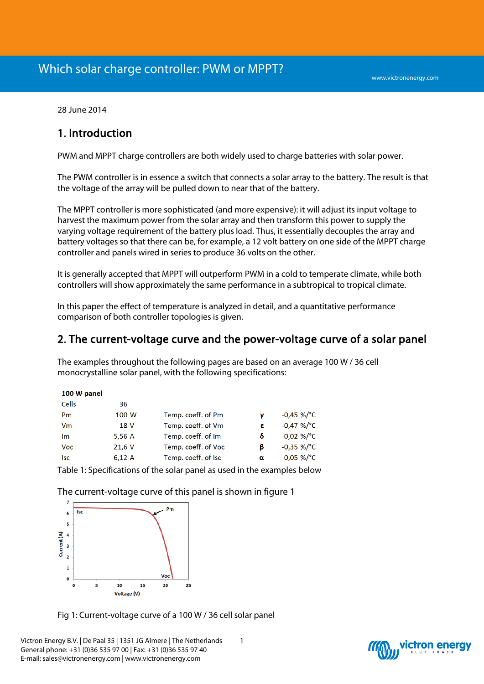28 June 2014

# 1. Introduction

PWM and MPPT charge controllers are both widely used to charge batteries with solar power.

The PWM controller is in essence a switch that connects a solar array to the battery. The result is that the voltage of the array will be pulled down to near that of the battery.

The MPPT controller is more sophisticated (and more expensive): it will adjust its input voltage to harvest the maximum power from the solar array and then transform this power to supply the varying voltage requirement of the battery plus load. Thus, it essentially decouples the array and battery voltages so that there can be, for example, a 12 volt battery on one side of the MPPT charge controller and panels wired in series to produce 36 volts on the other.

It is generally accepted that MPPT will outperform PWM in a cold to temperate climate, while both controllers will show approximately the same performance in a subtropical to tropical climate.

In this paper the effect of temperature is analyzed in detail, and a quantitative performance comparison of both controller topologies is given.

# 2. The current-voltage curve and the power-voltage curve of a solar panel

The examples throughout the following pages are based on an average 100 W / 36 cell monocrystalline solar panel, with the following specifications:

| 100 W panel  |        |                     |   |               |
|--------------|--------|---------------------|---|---------------|
| <b>Cells</b> | 36     |                     |   |               |
| Pm           | 100 W  | Temp. coeff. of Pm  |   | $-0.45 \%$ C  |
| Vm           | 18 V   | Temp. coeff. of Vm  | ε | $-0.47 \%$ C  |
| Im           | 5,56 A | Temp. coeff. of Im  | δ | $0.02 \%$ /°C |
| Voc          | 21,6 V | Temp. coeff. of Voc | ß | $-0,35 \%$ C  |
| lsc          | 6.12A  | Temp. coeff. of Isc | α | $0.05 \%$ /°C |
|              |        |                     |   |               |

Table 1: Specifications of the solar panel as used in the examples below

The current-voltage curve of this panel is shown in figure 1



Fig 1: Current-voltage curve of a 100 W / 36 cell solar panel

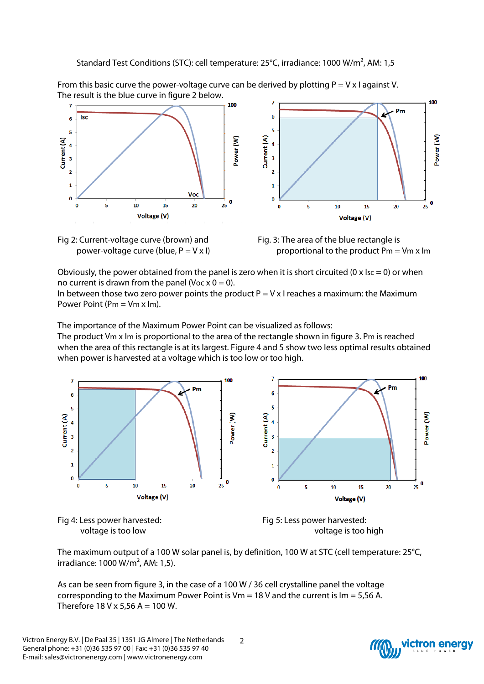Standard Test Conditions (STC): cell temperature: 25°C, irradiance: 1000 W/m², AM: 1,5

From this basic curve the power-voltage curve can be derived by plotting  $P = V \times I$  against V. The result is the blue curve in figure 2 below.







Obviously, the power obtained from the panel is zero when it is short circuited (0 x  $\text{Isc} = 0$ ) or when no current is drawn from the panel (Voc  $x = 0$ ).

In between those two zero power points the product  $P = V \times I$  reaches a maximum: the Maximum Power Point (Pm = Vm x Im).

The importance of the Maximum Power Point can be visualized as follows: The product Vm x Im is proportional to the area of the rectangle shown in figure 3. Pm is reached when the area of this rectangle is at its largest. Figure 4 and 5 show two less optimal results obtained when power is harvested at a voltage which is too low or too high.







The maximum output of a 100 W solar panel is, by definition, 100 W at STC (cell temperature: 25°C, irradiance: 1000 W/m², AM: 1,5).

As can be seen from figure 3, in the case of a 100 W / 36 cell crystalline panel the voltage corresponding to the Maximum Power Point is  $Vm = 18$  V and the current is  $Im = 5.56$  A. Therefore  $18$  V x 5,56 A = 100 W.

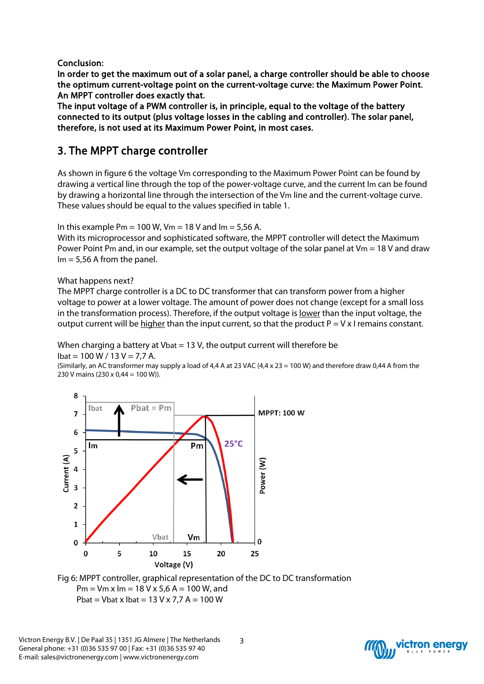Conclusion:

In order to get the maximum out of a solar panel, a charge controller should be able to choose the optimum current-voltage point on the current-voltage curve: the Maximum Power Point. An MPPT controller does exactly that.

The input voltage of a PWM controller is, in principle, equal to the voltage of the battery connected to its output (plus voltage losses in the cabling and controller). The solar panel, therefore, is not used at its Maximum Power Point, in most cases.

# 3. The MPPT charge controller

As shown in figure 6 the voltage Vm corresponding to the Maximum Power Point can be found by drawing a vertical line through the top of the power-voltage curve, and the current Im can be found by drawing a horizontal line through the intersection of the Vm line and the current-voltage curve. These values should be equal to the values specified in table 1.

In this example Pm = 100 W, Vm = 18 V and Im = 5,56 A.

With its microprocessor and sophisticated software, the MPPT controller will detect the Maximum Power Point Pm and, in our example, set the output voltage of the solar panel at Vm = 18 V and draw  $Im = 5.56$  A from the panel.

### What happens next?

The MPPT charge controller is a DC to DC transformer that can transform power from a higher voltage to power at a lower voltage. The amount of power does not change (except for a small loss in the transformation process). Therefore, if the output voltage is <u>lower</u> than the input voltage, the output current will be higher than the input current, so that the product  $P = V \times I$  remains constant.

When charging a battery at Vbat = 13 V, the output current will therefore be  $I_{\text{bat}} = 100 \text{ W} / 13 \text{ V} = 7.7 \text{ A}.$ 

(Similarly, an AC transformer may supply a load of 4,4 A at 23 VAC (4,4 x 23 = 100 W) and therefore draw 0,44 A from the 230 V mains (230 x 0,44 = 100 W)).



Fig 6: MPPT controller, graphical representation of the DC to DC transformation Pm =  $Vm \times lm = 18 V \times 5,6 A = 100 W$ , and Pbat = Vbat x Ibat =  $13$  V x 7,7 A =  $100$  W

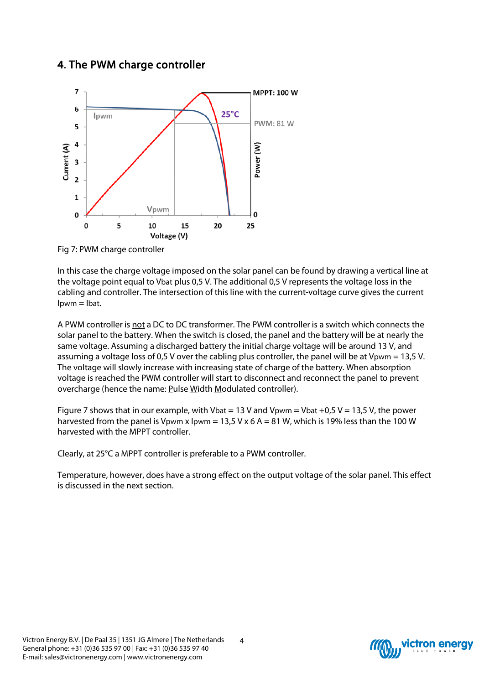# 4. The PWM charge controller



Fig 7: PWM charge controller

In this case the charge voltage imposed on the solar panel can be found by drawing a vertical line at the voltage point equal to Vbat plus 0,5 V. The additional 0,5 V represents the voltage loss in the cabling and controller. The intersection of this line with the current-voltage curve gives the current  $I$ <sub>pwm</sub>  $=$   $I$ <sub>bat</sub>.

A PWM controller is not a DC to DC transformer. The PWM controller is a switch which connects the solar panel to the battery. When the switch is closed, the panel and the battery will be at nearly the same voltage. Assuming a discharged battery the initial charge voltage will be around 13 V, and assuming a voltage loss of 0,5 V over the cabling plus controller, the panel will be at Vpwm = 13,5 V. The voltage will slowly increase with increasing state of charge of the battery. When absorption voltage is reached the PWM controller will start to disconnect and reconnect the panel to prevent overcharge (hence the name: Pulse Width Modulated controller).

Figure 7 shows that in our example, with Vbat = 13 V and Vpwm = Vbat +0,5 V = 13,5 V, the power harvested from the panel is Vpwm x Ipwm = 13,5 V x 6 A = 81 W, which is 19% less than the 100 W harvested with the MPPT controller.

Clearly, at 25°C a MPPT controller is preferable to a PWM controller.

Temperature, however, does have a strong effect on the output voltage of the solar panel. This effect is discussed in the next section.

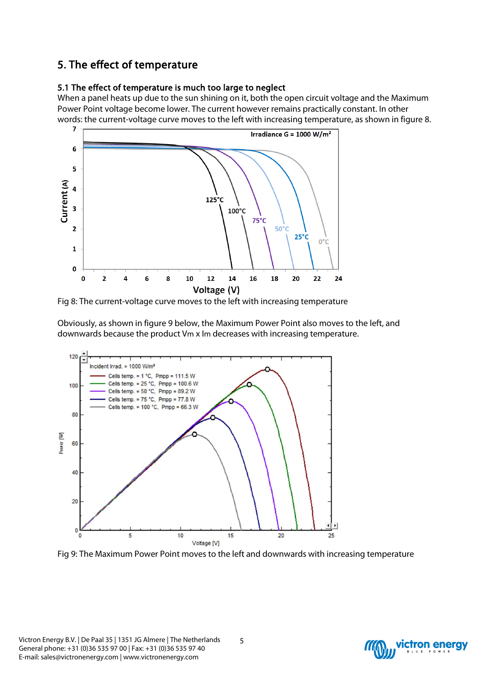# 5. The effect of temperature

### 5.1 The effect of temperature is much too large to neglect

When a panel heats up due to the sun shining on it, both the open circuit voltage and the Maximum Power Point voltage become lower. The current however remains practically constant. In other words: the current-voltage curve moves to the left with increasing temperature, as shown in figure 8.



Fig 8: The current-voltage curve moves to the left with increasing temperature

Obviously, as shown in figure 9 below, the Maximum Power Point also moves to the left, and downwards because the product Vm x Im decreases with increasing temperature.



Fig 9: The Maximum Power Point moves to the left and downwards with increasing temperature

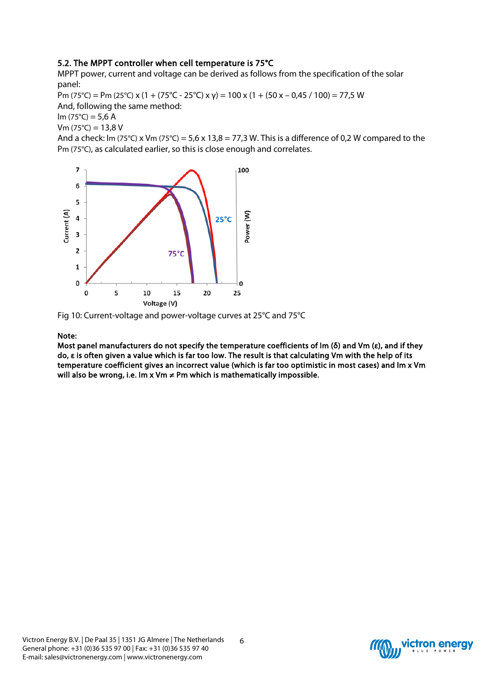### 5.2. The MPPT controller when cell temperature is 75°C

MPPT power, current and voltage can be derived as follows from the specification of the solar panel:

Pm (75°C) = Pm (25°C) x (1 + (75°C - 25°C) x y) = 100 x (1 + (50 x – 0,45 / 100) = 77,5 W And, following the same method:

 $Im (75^{\circ}C) = 5,6 A$ 

 $Vm (75°C) = 13.8 V$ 

And a check: Im (75°C) x Vm (75°C) = 5,6 x 13,8 = 77,3 W. This is a difference of 0,2 W compared to the Pm (75°C), as calculated earlier, so this is close enough and correlates.



Fig 10: Current-voltage and power-voltage curves at 25°C and 75°C

#### Note:

Most panel manufacturers do not specify the temperature coefficients of Im (δ) and Vm (ε), and if they do, ε is often given a value which is far too low. The result is that calculating Vm with the help of its temperature coefficient gives an incorrect value (which is far too optimistic in most cases) and Im x Vm will also be wrong, i.e. Im x Vm  $\neq$  Pm which is mathematically impossible.

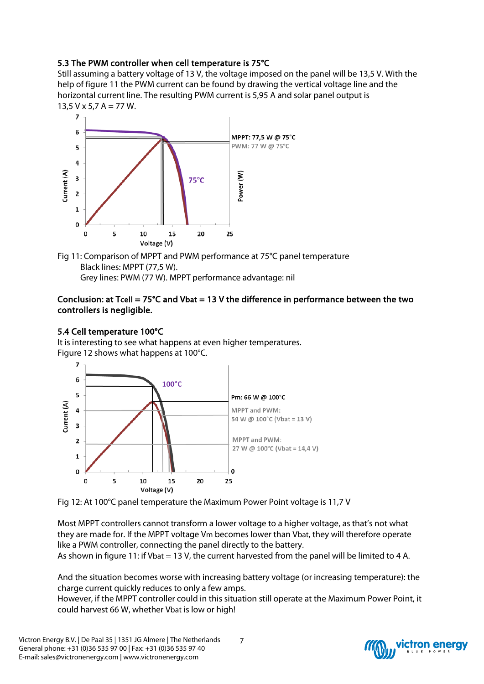# 5.3 The PWM controller when cell temperature is 75°C

Still assuming a battery voltage of 13 V, the voltage imposed on the panel will be 13,5 V. With the help of figure 11 the PWM current can be found by drawing the vertical voltage line and the horizontal current line. The resulting PWM current is 5,95 A and solar panel output is  $13,5$  V x 5,7 A = 77 W.



Fig 11: Comparison of MPPT and PWM performance at 75°C panel temperature Black lines: MPPT (77,5 W). Grey lines: PWM (77 W). MPPT performance advantage: nil

### Conclusion: at Tcell =  $75^{\circ}$ C and Vbat = 13 V the difference in performance between the two controllers is negligible.

### 5.4 Cell temperature 100°C

It is interesting to see what happens at even higher temperatures. Figure 12 shows what happens at 100°C.





Most MPPT controllers cannot transform a lower voltage to a higher voltage, as that's not what they are made for. If the MPPT voltage Vm becomes lower than Vbat, they will therefore operate like a PWM controller, connecting the panel directly to the battery. As shown in figure 11: if Vbat = 13 V, the current harvested from the panel will be limited to 4 A.

And the situation becomes worse with increasing battery voltage (or increasing temperature): the charge current quickly reduces to only a few amps.

However, if the MPPT controller could in this situation still operate at the Maximum Power Point, it could harvest 66 W, whether Vbat is low or high!

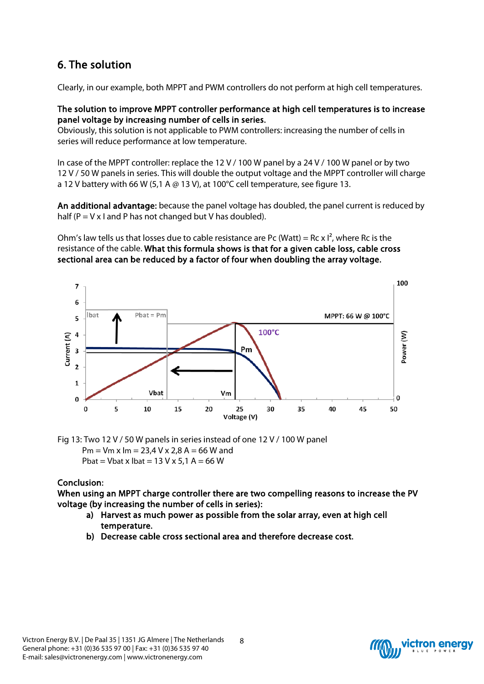# 6. The solution

Clearly, in our example, both MPPT and PWM controllers do not perform at high cell temperatures.

### The solution to improve MPPT controller performance at high cell temperatures is to increase panel voltage by increasing number of cells in series.

Obviously, this solution is not applicable to PWM controllers: increasing the number of cells in series will reduce performance at low temperature.

In case of the MPPT controller: replace the 12 V / 100 W panel by a 24 V / 100 W panel or by two 12 V / 50 W panels in series. This will double the output voltage and the MPPT controller will charge a 12 V battery with 66 W (5,1 A  $\omega$  13 V), at 100°C cell temperature, see figure 13.

An additional advantage: because the panel voltage has doubled, the panel current is reduced by half ( $P = V \times I$  and P has not changed but V has doubled).

Ohm's law tells us that losses due to cable resistance are Pc (Watt) = Rc x  $I^2$ , where Rc is the resistance of the cable. What this formula shows is that for a given cable loss, cable cross sectional area can be reduced by a factor of four when doubling the array voltage.



Fig 13: Two 12 V / 50 W panels in series instead of one 12 V / 100 W panel  $Pm = Vm \times Im = 23.4 V \times 2.8 A = 66 W$  and Pbat = Vbat x Ibat =  $13$  V x  $5.1$  A = 66 W

## Conclusion:

When using an MPPT charge controller there are two compelling reasons to increase the PV voltage (by increasing the number of cells in series):

- a) Harvest as much power as possible from the solar array, even at high cell temperature.
- b) Decrease cable cross sectional area and therefore decrease cost.

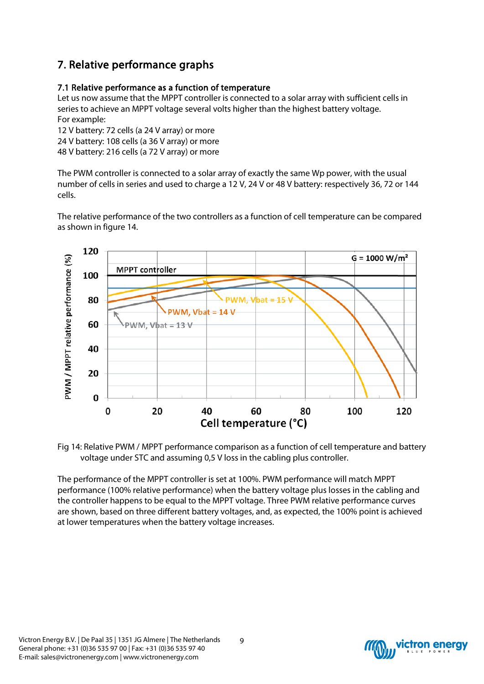# 7. Relative performance graphs

# 7.1 Relative performance as a function of temperature

Let us now assume that the MPPT controller is connected to a solar array with sufficient cells in series to achieve an MPPT voltage several volts higher than the highest battery voltage. For example:

12 V battery: 72 cells (a 24 V array) or more

24 V battery: 108 cells (a 36 V array) or more

48 V battery: 216 cells (a 72 V array) or more

The PWM controller is connected to a solar array of exactly the same Wp power, with the usual number of cells in series and used to charge a 12 V, 24 V or 48 V battery: respectively 36, 72 or 144 cells.

The relative performance of the two controllers as a function of cell temperature can be compared as shown in figure 14.



Fig 14: Relative PWM / MPPT performance comparison as a function of cell temperature and battery voltage under STC and assuming 0,5 V loss in the cabling plus controller.

The performance of the MPPT controller is set at 100%. PWM performance will match MPPT performance (100% relative performance) when the battery voltage plus losses in the cabling and the controller happens to be equal to the MPPT voltage. Three PWM relative performance curves are shown, based on three different battery voltages, and, as expected, the 100% point is achieved at lower temperatures when the battery voltage increases.

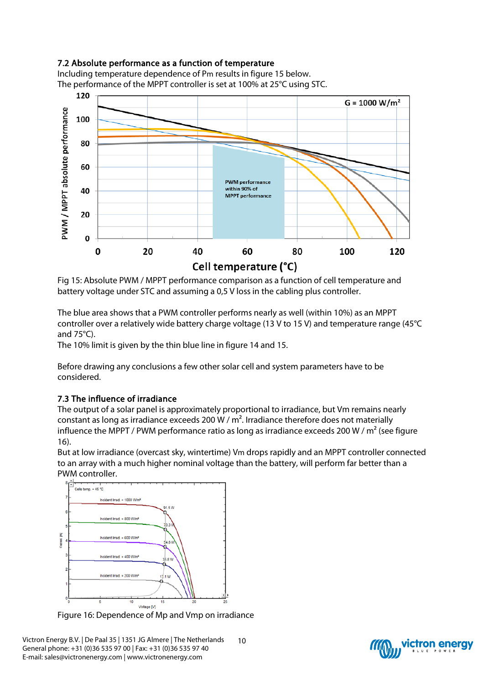# 7.2 Absolute performance as a function of temperature

Including temperature dependence of Pm results in figure 15 below. The performance of the MPPT controller is set at 100% at 25°C using STC.



Fig 15: Absolute PWM / MPPT performance comparison as a function of cell temperature and battery voltage under STC and assuming a 0,5 V loss in the cabling plus controller.

The blue area shows that a PWM controller performs nearly as well (within 10%) as an MPPT controller over a relatively wide battery charge voltage (13 V to 15 V) and temperature range (45°C and 75°C).

The 10% limit is given by the thin blue line in figure 14 and 15.

Before drawing any conclusions a few other solar cell and system parameters have to be considered.

## 7.3 The influence of irradiance

The output of a solar panel is approximately proportional to irradiance, but Vm remains nearly constant as long as irradiance exceeds 200 W /  $m<sup>2</sup>$ . Irradiance therefore does not materially influence the MPPT / PWM performance ratio as long as irradiance exceeds 200 W /  $m^2$  (see figure 16).

But at low irradiance (overcast sky, wintertime) Vm drops rapidly and an MPPT controller connected to an array with a much higher nominal voltage than the battery, will perform far better than a PWM controller.



Figure 16: Dependence of Mp and Vmp on irradiance

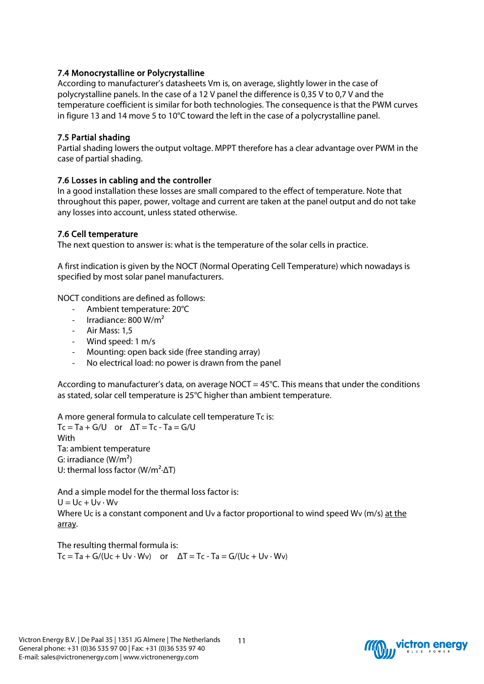## 7.4 Monocrystalline or Polycrystalline

According to manufacturer's datasheets Vm is, on average, slightly lower in the case of polycrystalline panels. In the case of a 12 V panel the difference is 0,35 V to 0,7 V and the temperature coefficient is similar for both technologies. The consequence is that the PWM curves in figure 13 and 14 move 5 to 10°C toward the left in the case of a polycrystalline panel.

### 7.5 Partial shading

Partial shading lowers the output voltage. MPPT therefore has a clear advantage over PWM in the case of partial shading.

### 7.6 Losses in cabling and the controller

In a good installation these losses are small compared to the effect of temperature. Note that throughout this paper, power, voltage and current are taken at the panel output and do not take any losses into account, unless stated otherwise.

### 7.6 Cell temperature

The next question to answer is: what is the temperature of the solar cells in practice.

A first indication is given by the NOCT (Normal Operating Cell Temperature) which nowadays is specified by most solar panel manufacturers.

NOCT conditions are defined as follows:

- Ambient temperature: 20°C
- Irradiance: 800 W/m<sup>2</sup>
- Air Mass: 1,5
- Wind speed: 1 m/s
- Mounting: open back side (free standing array)
- No electrical load: no power is drawn from the panel

According to manufacturer's data, on average NOCT =  $45^{\circ}$ C. This means that under the conditions as stated, solar cell temperature is 25°C higher than ambient temperature.

A more general formula to calculate cell temperature Tc is:  $Tc = Ta + G/U$  or  $\Delta T = Tc - Ta = G/U$ **With** Ta: ambient temperature

G: irradiance  $(W/m<sup>2</sup>)$ U: thermal loss factor ( $W/m^2$ - $\Delta T$ )

And a simple model for the thermal loss factor is:  $U = Uc + Uv \cdot Wv$ Where Uc is a constant component and Uv a factor proportional to wind speed Wv (m/s) at the array.

The resulting thermal formula is:  $Tc = Ta + G/(Uc + Uv \cdot Wv)$  or  $\Delta T = Tc - Ta = G/(Uc + Uv \cdot Wv)$ 

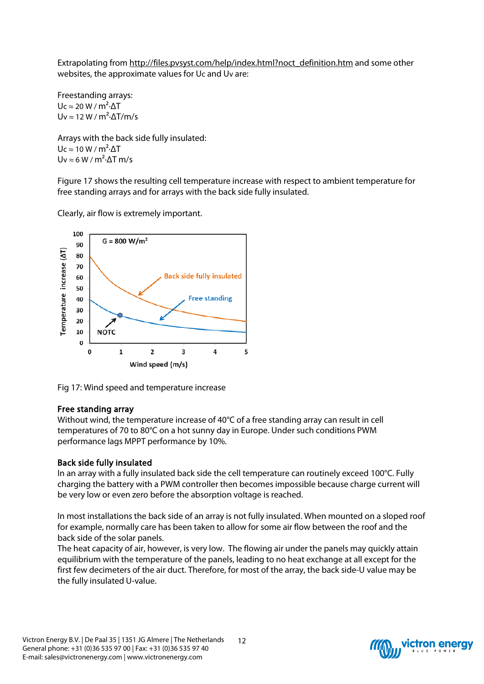Extrapolating from [http://files.pvsyst.com/help/index.html?noct\\_definition.htm](http://files.pvsyst.com/help/index.html?noct_definition.htm) and some other websites, the approximate values for Uc and Uv are:

Freestanding arrays:  $Uc \approx 20 W/m^2 \Delta T$ Uv  $\approx$  12 W / m<sup>2</sup> $\cdot$   $\Delta$ T/m/s

Arrays with the back side fully insulated:  $Uc \approx 10 W/m^2 \cdot \Delta T$ Uv  $\approx 6 W/m^2$ · $\Delta$ T m/s

Figure 17 shows the resulting cell temperature increase with respect to ambient temperature for free standing arrays and for arrays with the back side fully insulated.

Clearly, air flow is extremely important.



Fig 17: Wind speed and temperature increase

### Free standing array

Without wind, the temperature increase of 40°C of a free standing array can result in cell temperatures of 70 to 80°C on a hot sunny day in Europe. Under such conditions PWM performance lags MPPT performance by 10%.

## Back side fully insulated

In an array with a fully insulated back side the cell temperature can routinely exceed 100°C. Fully charging the battery with a PWM controller then becomes impossible because charge current will be very low or even zero before the absorption voltage is reached.

In most installations the back side of an array is not fully insulated. When mounted on a sloped roof for example, normally care has been taken to allow for some air flow between the roof and the back side of the solar panels.

The heat capacity of air, however, is very low. The flowing air under the panels may quickly attain equilibrium with the temperature of the panels, leading to no heat exchange at all except for the first few decimeters of the air duct. Therefore, for most of the array, the back side-U value may be the fully insulated U-value.

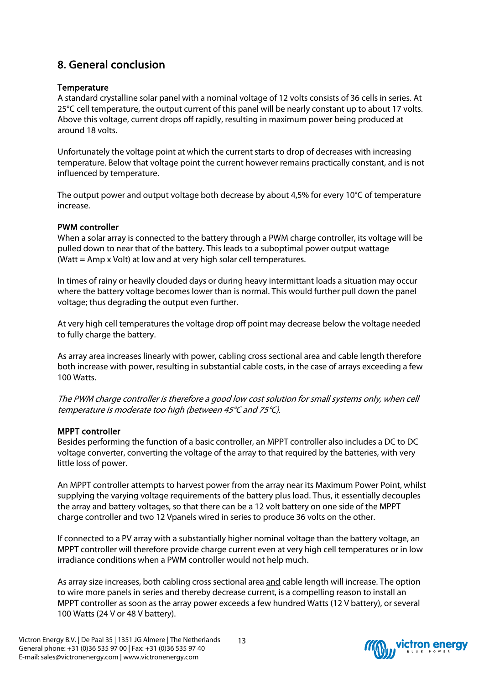# 8. General conclusion

### **Temperature**

A standard crystalline solar panel with a nominal voltage of 12 volts consists of 36 cells in series. At 25°C cell temperature, the output current of this panel will be nearly constant up to about 17 volts. Above this voltage, current drops off rapidly, resulting in maximum power being produced at around 18 volts.

Unfortunately the voltage point at which the current starts to drop of decreases with increasing temperature. Below that voltage point the current however remains practically constant, and is not influenced by temperature.

The output power and output voltage both decrease by about 4,5% for every 10°C of temperature increase.

### PWM controller

When a solar array is connected to the battery through a PWM charge controller, its voltage will be pulled down to near that of the battery. This leads to a suboptimal power output wattage (Watt = Amp x Volt) at low and at very high solar cell temperatures.

In times of rainy or heavily clouded days or during heavy intermittant loads a situation may occur where the battery voltage becomes lower than is normal. This would further pull down the panel voltage; thus degrading the output even further.

At very high cell temperatures the voltage drop off point may decrease below the voltage needed to fully charge the battery.

As array area increases linearly with power, cabling cross sectional area and cable length therefore both increase with power, resulting in substantial cable costs, in the case of arrays exceeding a few 100 Watts.

The PWM charge controller is therefore a good low cost solution for small systems only, when cell temperature is moderate too high (between 45°C and 75°C).

## MPPT controller

Besides performing the function of a basic controller, an MPPT controller also includes a DC to DC voltage converter, converting the voltage of the array to that required by the batteries, with very little loss of power.

An MPPT controller attempts to harvest power from the array near its Maximum Power Point, whilst supplying the varying voltage requirements of the battery plus load. Thus, it essentially decouples the array and battery voltages, so that there can be a 12 volt battery on one side of the MPPT charge controller and two 12 Vpanels wired in series to produce 36 volts on the other.

If connected to a PV array with a substantially higher nominal voltage than the battery voltage, an MPPT controller will therefore provide charge current even at very high cell temperatures or in low irradiance conditions when a PWM controller would not help much.

As array size increases, both cabling cross sectional area and cable length will increase. The option to wire more panels in series and thereby decrease current, is a compelling reason to install an MPPT controller as soon as the array power exceeds a few hundred Watts (12 V battery), or several 100 Watts (24 V or 48 V battery).